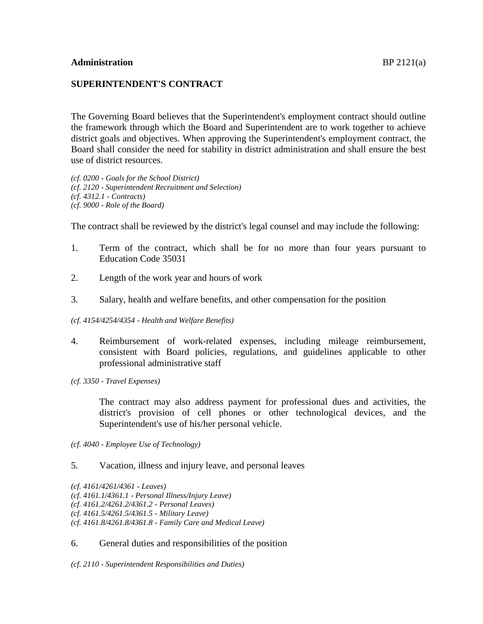## **SUPERINTENDENT'S CONTRACT**

The Governing Board believes that the Superintendent's employment contract should outline the framework through which the Board and Superintendent are to work together to achieve district goals and objectives. When approving the Superintendent's employment contract, the Board shall consider the need for stability in district administration and shall ensure the best use of district resources.

*(cf. 0200 - Goals for the School District) (cf. 2120 - Superintendent Recruitment and Selection) (cf. 4312.1 - Contracts) (cf. 9000 - Role of the Board)*

The contract shall be reviewed by the district's legal counsel and may include the following:

- 1. Term of the contract, which shall be for no more than four years pursuant to Education Code 35031
- 2. Length of the work year and hours of work
- 3. Salary, health and welfare benefits, and other compensation for the position

#### *(cf. 4154/4254/4354 - Health and Welfare Benefits)*

- 4. Reimbursement of work-related expenses, including mileage reimbursement, consistent with Board policies, regulations, and guidelines applicable to other professional administrative staff
- *(cf. 3350 - Travel Expenses)*

The contract may also address payment for professional dues and activities, the district's provision of cell phones or other technological devices, and the Superintendent's use of his/her personal vehicle.

*(cf. 4040 - Employee Use of Technology)*

## 5. Vacation, illness and injury leave, and personal leaves

#### 6. General duties and responsibilities of the position

*(cf. 2110 - Superintendent Responsibilities and Duties)*

*<sup>(</sup>cf. 4161/4261/4361 - Leaves)*

*<sup>(</sup>cf. 4161.1/4361.1 - Personal Illness/Injury Leave)*

*<sup>(</sup>cf. 4161.2/4261.2/4361.2 - Personal Leaves)*

*<sup>(</sup>cf. 4161.5/4261.5/4361.5 - Military Leave)*

*<sup>(</sup>cf. 4161.8/4261.8/4361.8 - Family Care and Medical Leave)*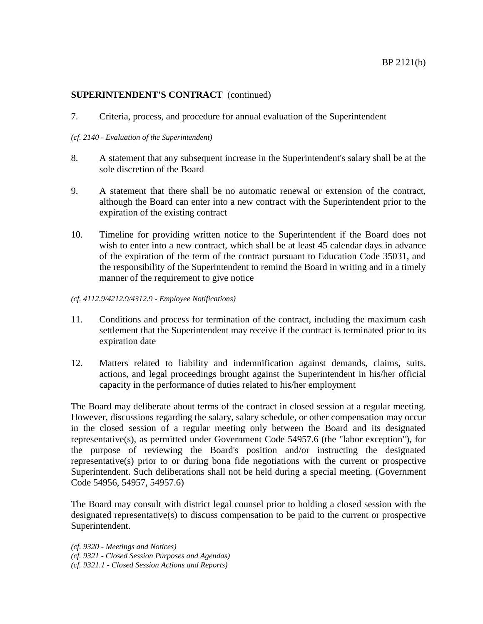7. Criteria, process, and procedure for annual evaluation of the Superintendent

#### *(cf. 2140 - Evaluation of the Superintendent)*

- 8. A statement that any subsequent increase in the Superintendent's salary shall be at the sole discretion of the Board
- 9. A statement that there shall be no automatic renewal or extension of the contract, although the Board can enter into a new contract with the Superintendent prior to the expiration of the existing contract
- 10. Timeline for providing written notice to the Superintendent if the Board does not wish to enter into a new contract, which shall be at least 45 calendar days in advance of the expiration of the term of the contract pursuant to Education Code 35031, and the responsibility of the Superintendent to remind the Board in writing and in a timely manner of the requirement to give notice
- *(cf. 4112.9/4212.9/4312.9 - Employee Notifications)*
- 11. Conditions and process for termination of the contract, including the maximum cash settlement that the Superintendent may receive if the contract is terminated prior to its expiration date
- 12. Matters related to liability and indemnification against demands, claims, suits, actions, and legal proceedings brought against the Superintendent in his/her official capacity in the performance of duties related to his/her employment

The Board may deliberate about terms of the contract in closed session at a regular meeting. However, discussions regarding the salary, salary schedule, or other compensation may occur in the closed session of a regular meeting only between the Board and its designated representative(s), as permitted under Government Code 54957.6 (the "labor exception"), for the purpose of reviewing the Board's position and/or instructing the designated representative(s) prior to or during bona fide negotiations with the current or prospective Superintendent. Such deliberations shall not be held during a special meeting. (Government Code 54956, 54957, 54957.6)

The Board may consult with district legal counsel prior to holding a closed session with the designated representative(s) to discuss compensation to be paid to the current or prospective Superintendent.

- *(cf. 9321 - Closed Session Purposes and Agendas)*
- *(cf. 9321.1 - Closed Session Actions and Reports)*

*<sup>(</sup>cf. 9320 - Meetings and Notices)*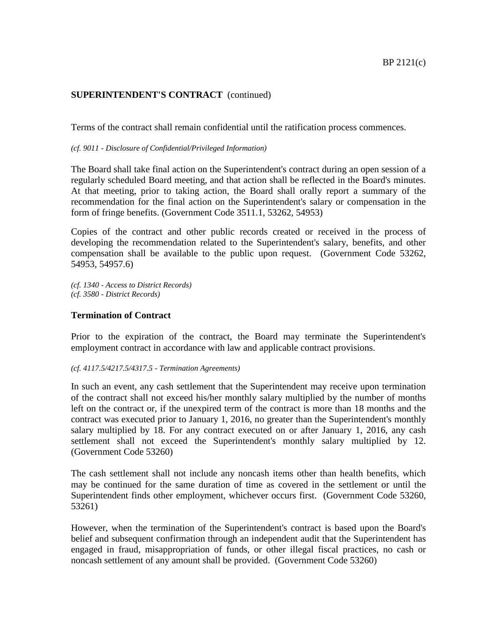Terms of the contract shall remain confidential until the ratification process commences.

*(cf. 9011 - Disclosure of Confidential/Privileged Information)*

The Board shall take final action on the Superintendent's contract during an open session of a regularly scheduled Board meeting, and that action shall be reflected in the Board's minutes. At that meeting, prior to taking action, the Board shall orally report a summary of the recommendation for the final action on the Superintendent's salary or compensation in the form of fringe benefits. (Government Code 3511.1, 53262, 54953)

Copies of the contract and other public records created or received in the process of developing the recommendation related to the Superintendent's salary, benefits, and other compensation shall be available to the public upon request. (Government Code 53262, 54953, 54957.6)

*(cf. 1340 - Access to District Records) (cf. 3580 - District Records)*

#### **Termination of Contract**

Prior to the expiration of the contract, the Board may terminate the Superintendent's employment contract in accordance with law and applicable contract provisions.

```
(cf. 4117.5/4217.5/4317.5 - Termination Agreements)
```
In such an event, any cash settlement that the Superintendent may receive upon termination of the contract shall not exceed his/her monthly salary multiplied by the number of months left on the contract or, if the unexpired term of the contract is more than 18 months and the contract was executed prior to January 1, 2016, no greater than the Superintendent's monthly salary multiplied by 18. For any contract executed on or after January 1, 2016, any cash settlement shall not exceed the Superintendent's monthly salary multiplied by 12. (Government Code 53260)

The cash settlement shall not include any noncash items other than health benefits, which may be continued for the same duration of time as covered in the settlement or until the Superintendent finds other employment, whichever occurs first. (Government Code 53260, 53261)

However, when the termination of the Superintendent's contract is based upon the Board's belief and subsequent confirmation through an independent audit that the Superintendent has engaged in fraud, misappropriation of funds, or other illegal fiscal practices, no cash or noncash settlement of any amount shall be provided. (Government Code 53260)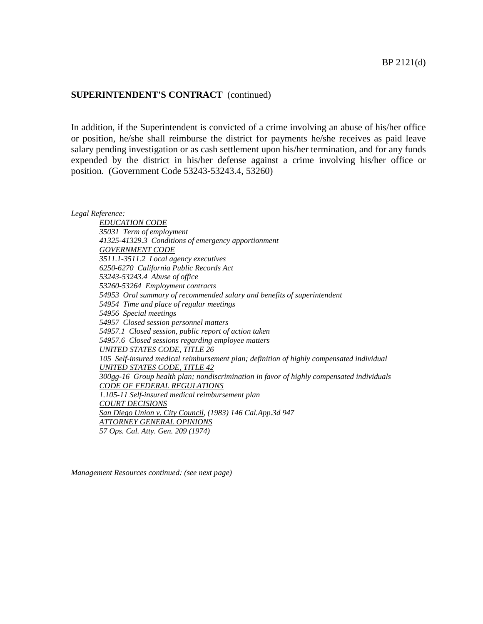In addition, if the Superintendent is convicted of a crime involving an abuse of his/her office or position, he/she shall reimburse the district for payments he/she receives as paid leave salary pending investigation or as cash settlement upon his/her termination, and for any funds expended by the district in his/her defense against a crime involving his/her office or position. (Government Code 53243-53243.4, 53260)

*Legal Reference:*

*EDUCATION CODE 35031 Term of employment 41325-41329.3 Conditions of emergency apportionment GOVERNMENT CODE 3511.1-3511.2 Local agency executives 6250-6270 California Public Records Act 53243-53243.4 Abuse of office 53260-53264 Employment contracts 54953 Oral summary of recommended salary and benefits of superintendent 54954 Time and place of regular meetings 54956 Special meetings 54957 Closed session personnel matters 54957.1 Closed session, public report of action taken 54957.6 Closed sessions regarding employee matters UNITED STATES CODE, TITLE 26 105 Self-insured medical reimbursement plan; definition of highly compensated individual UNITED STATES CODE, TITLE 42 300gg-16 Group health plan; nondiscrimination in favor of highly compensated individuals CODE OF FEDERAL REGULATIONS 1.105-11 Self-insured medical reimbursement plan COURT DECISIONS San Diego Union v. City Council, (1983) 146 Cal.App.3d 947 ATTORNEY GENERAL OPINIONS 57 Ops. Cal. Atty. Gen. 209 (1974)*

*Management Resources continued: (see next page)*